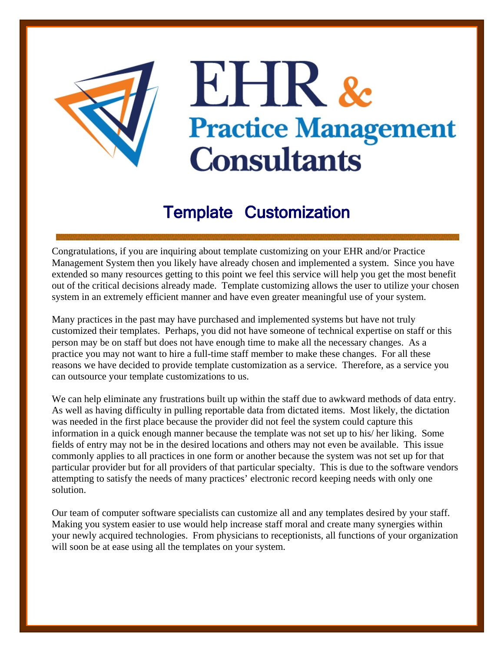

## Template Customization

Congratulations, if you are inquiring about template customizing on your EHR and/or Practice Management System then you likely have already chosen and implemented a system. Since you have extended so many resources getting to this point we feel this service will help you get the most benefit out of the critical decisions already made. Template customizing allows the user to utilize your chosen system in an extremely efficient manner and have even greater meaningful use of your system.

Many practices in the past may have purchased and implemented systems but have not truly customized their templates. Perhaps, you did not have someone of technical expertise on staff or this person may be on staff but does not have enough time to make all the necessary changes. As a practice you may not want to hire a full-time staff member to make these changes. For all these reasons we have decided to provide template customization as a service. Therefore, as a service you can outsource your template customizations to us.

We can help eliminate any frustrations built up within the staff due to awkward methods of data entry. As well as having difficulty in pulling reportable data from dictated items. Most likely, the dictation was needed in the first place because the provider did not feel the system could capture this information in a quick enough manner because the template was not set up to his/ her liking. Some fields of entry may not be in the desired locations and others may not even be available. This issue commonly applies to all practices in one form or another because the system was not set up for that particular provider but for all providers of that particular specialty. This is due to the software vendors attempting to satisfy the needs of many practices' electronic record keeping needs with only one solution.

Our team of computer software specialists can customize all and any templates desired by your staff. Making you system easier to use would help increase staff moral and create many synergies within your newly acquired technologies. From physicians to receptionists, all functions of your organization will soon be at ease using all the templates on your system.